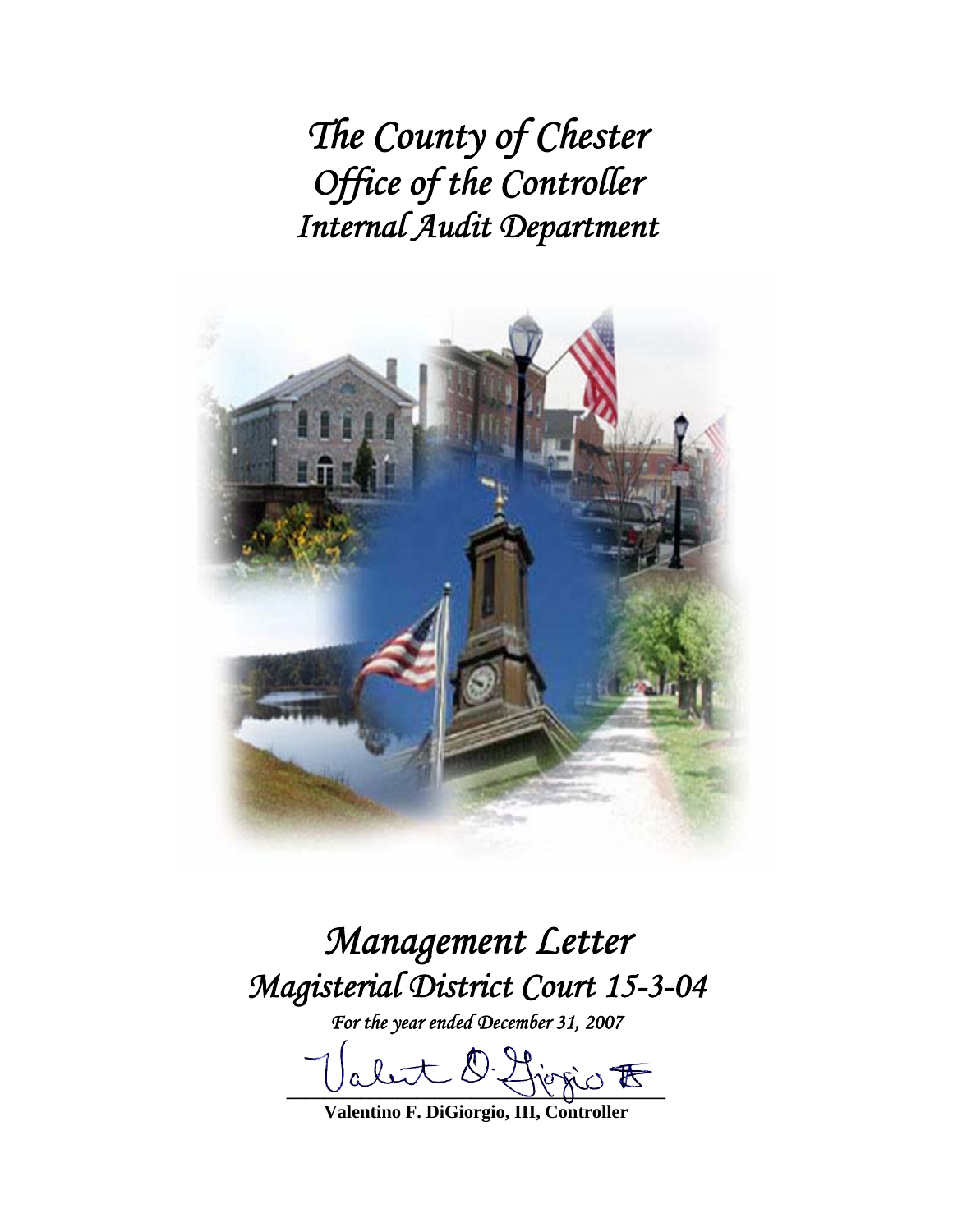*The County of Chester Office of the Controller Internal Audit Department* 



# *Management Letter Magisterial District Court 15-3-04*

*For the year ended December 31, 2007* 

let O. Hirgio F

**Valentino F. DiGiorgio, III, Controller**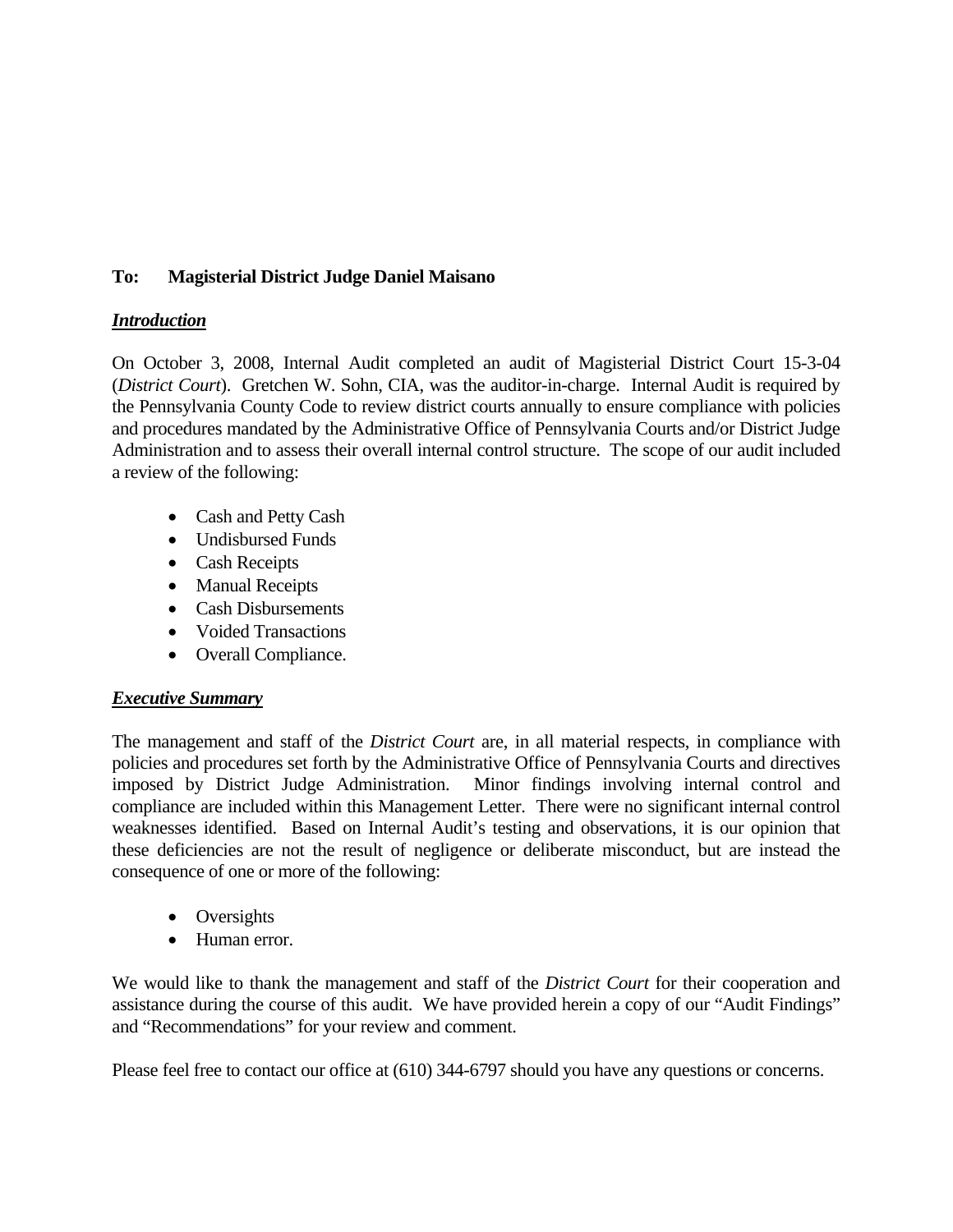## **To: Magisterial District Judge Daniel Maisano**

## *Introduction*

On October 3, 2008, Internal Audit completed an audit of Magisterial District Court 15-3-04 (*District Court*). Gretchen W. Sohn, CIA, was the auditor-in-charge. Internal Audit is required by the Pennsylvania County Code to review district courts annually to ensure compliance with policies and procedures mandated by the Administrative Office of Pennsylvania Courts and/or District Judge Administration and to assess their overall internal control structure. The scope of our audit included a review of the following:

- Cash and Petty Cash
- Undisbursed Funds
- Cash Receipts
- Manual Receipts
- Cash Disbursements
- Voided Transactions
- Overall Compliance.

## *Executive Summary*

The management and staff of the *District Court* are, in all material respects, in compliance with policies and procedures set forth by the Administrative Office of Pennsylvania Courts and directives imposed by District Judge Administration. Minor findings involving internal control and compliance are included within this Management Letter. There were no significant internal control weaknesses identified. Based on Internal Audit's testing and observations, it is our opinion that these deficiencies are not the result of negligence or deliberate misconduct, but are instead the consequence of one or more of the following:

- Oversights
- Human error.

We would like to thank the management and staff of the *District Court* for their cooperation and assistance during the course of this audit. We have provided herein a copy of our "Audit Findings" and "Recommendations" for your review and comment.

Please feel free to contact our office at (610) 344-6797 should you have any questions or concerns.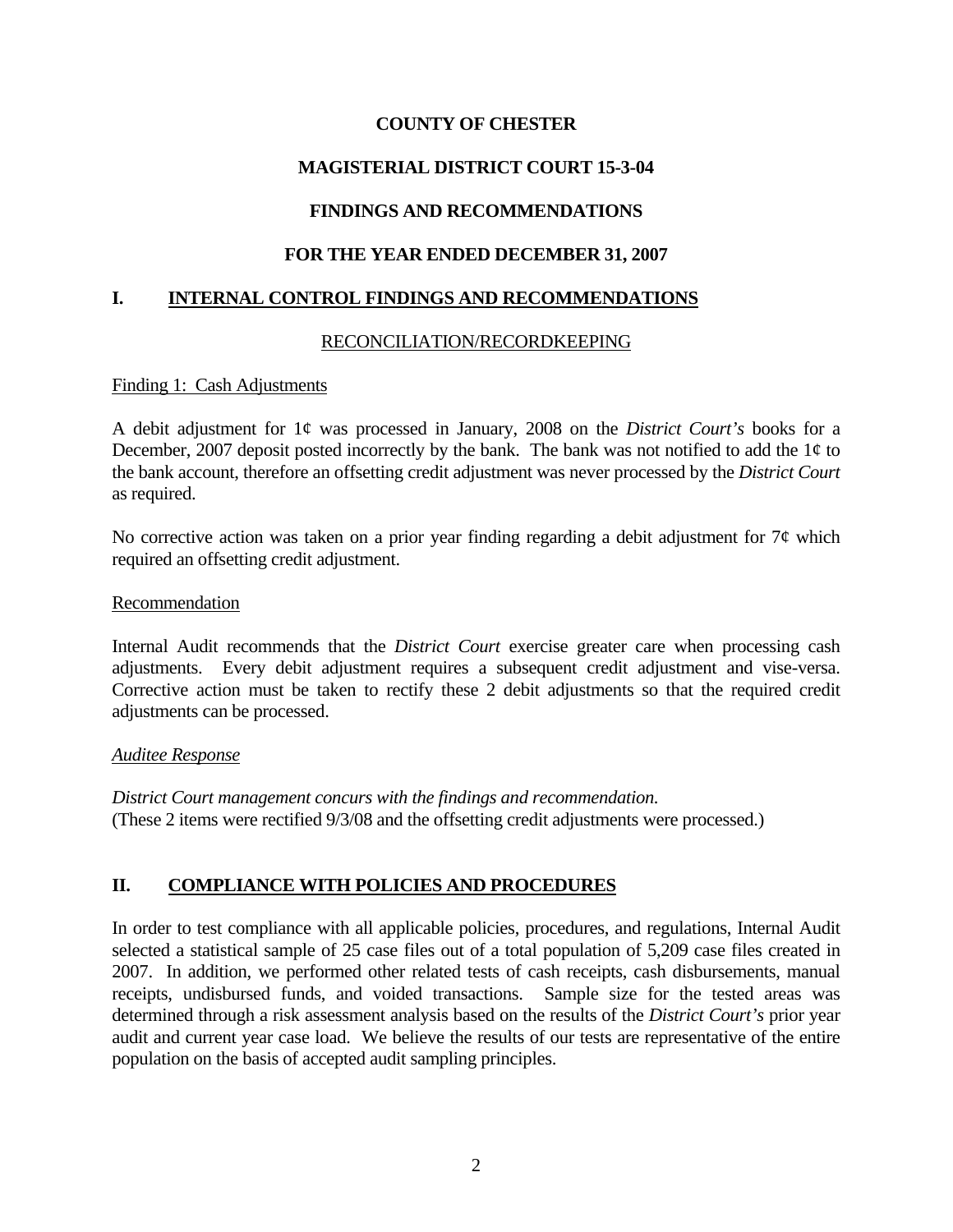## **MAGISTERIAL DISTRICT COURT 15-3-04**

## **FINDINGS AND RECOMMENDATIONS**

## **FOR THE YEAR ENDED DECEMBER 31, 2007**

## **I. INTERNAL CONTROL FINDINGS AND RECOMMENDATIONS**

### RECONCILIATION/RECORDKEEPING

#### Finding 1: Cash Adjustments

A debit adjustment for 1¢ was processed in January, 2008 on the *District Court's* books for a December, 2007 deposit posted incorrectly by the bank. The bank was not notified to add the  $1¢$  to the bank account, therefore an offsetting credit adjustment was never processed by the *District Court* as required.

No corrective action was taken on a prior year finding regarding a debit adjustment for  $7¢$  which required an offsetting credit adjustment.

#### Recommendation

Internal Audit recommends that the *District Court* exercise greater care when processing cash adjustments. Every debit adjustment requires a subsequent credit adjustment and vise-versa. Corrective action must be taken to rectify these 2 debit adjustments so that the required credit adjustments can be processed.

#### *Auditee Response*

*District Court management concurs with the findings and recommendation.*  (These 2 items were rectified 9/3/08 and the offsetting credit adjustments were processed.)

## **II. COMPLIANCE WITH POLICIES AND PROCEDURES**

In order to test compliance with all applicable policies, procedures, and regulations, Internal Audit selected a statistical sample of 25 case files out of a total population of 5,209 case files created in 2007. In addition, we performed other related tests of cash receipts, cash disbursements, manual receipts, undisbursed funds, and voided transactions. Sample size for the tested areas was determined through a risk assessment analysis based on the results of the *District Court's* prior year audit and current year case load. We believe the results of our tests are representative of the entire population on the basis of accepted audit sampling principles.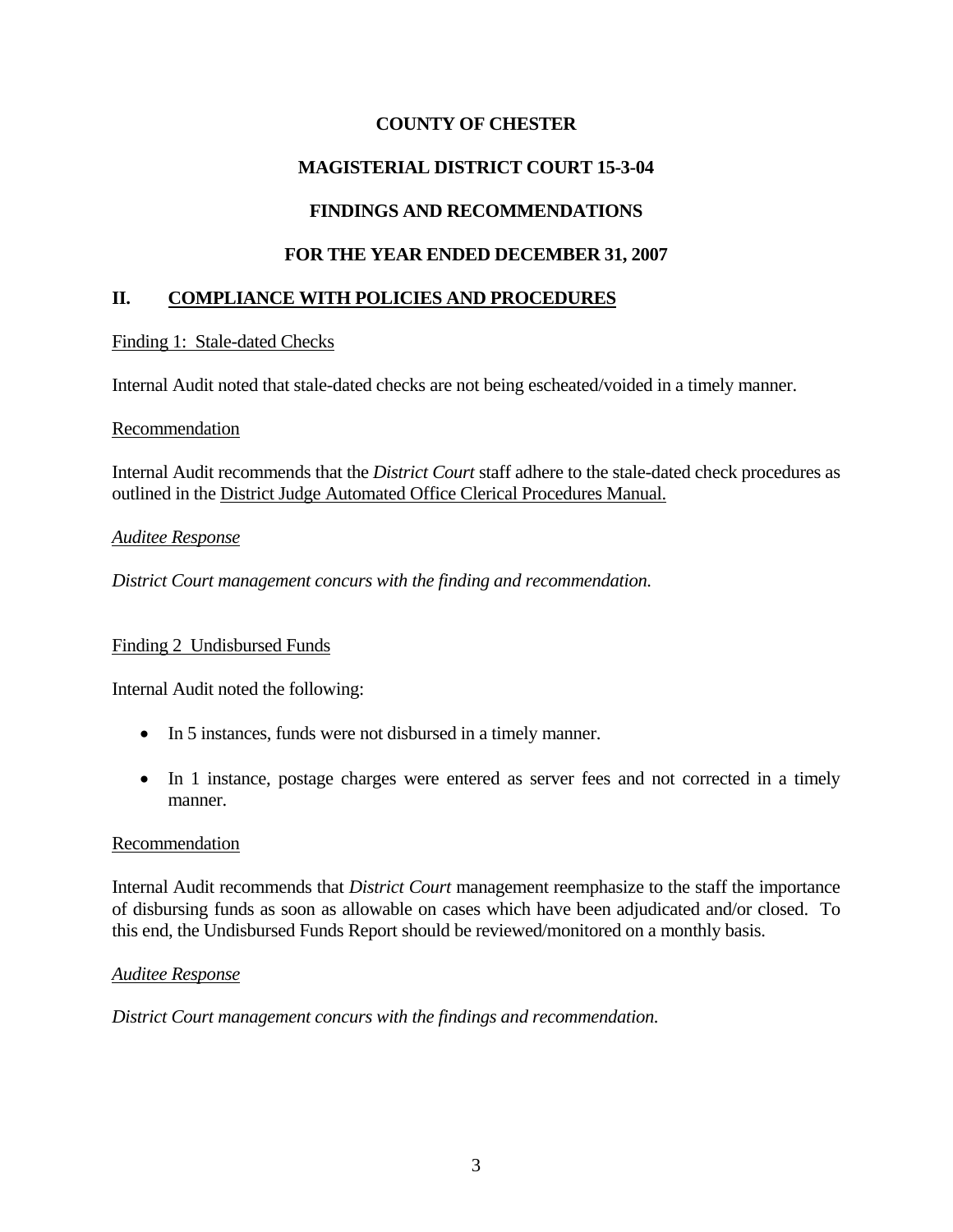# **MAGISTERIAL DISTRICT COURT 15-3-04**

## **FINDINGS AND RECOMMENDATIONS**

## **FOR THE YEAR ENDED DECEMBER 31, 2007**

## **II. COMPLIANCE WITH POLICIES AND PROCEDURES**

## Finding 1: Stale-dated Checks

Internal Audit noted that stale-dated checks are not being escheated/voided in a timely manner.

### Recommendation

Internal Audit recommends that the *District Court* staff adhere to the stale-dated check procedures as outlined in the District Judge Automated Office Clerical Procedures Manual.

## *Auditee Response*

*District Court management concurs with the finding and recommendation.* 

## Finding 2 Undisbursed Funds

Internal Audit noted the following:

- In 5 instances, funds were not disbursed in a timely manner.
- In 1 instance, postage charges were entered as server fees and not corrected in a timely manner.

### Recommendation

Internal Audit recommends that *District Court* management reemphasize to the staff the importance of disbursing funds as soon as allowable on cases which have been adjudicated and/or closed. To this end, the Undisbursed Funds Report should be reviewed/monitored on a monthly basis.

### *Auditee Response*

*District Court management concurs with the findings and recommendation.*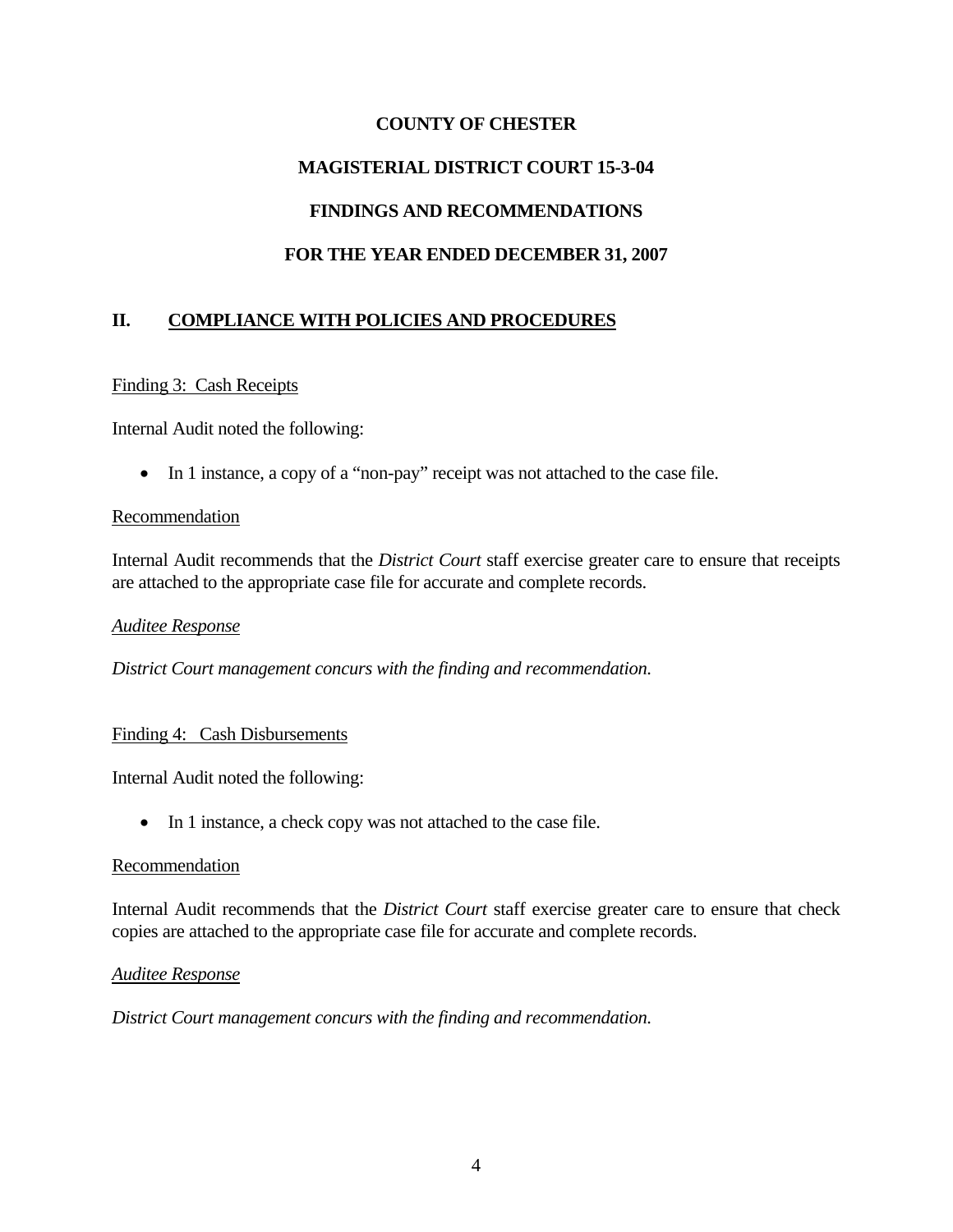## **MAGISTERIAL DISTRICT COURT 15-3-04**

# **FINDINGS AND RECOMMENDATIONS**

# **FOR THE YEAR ENDED DECEMBER 31, 2007**

## **II. COMPLIANCE WITH POLICIES AND PROCEDURES**

### Finding 3: Cash Receipts

Internal Audit noted the following:

• In 1 instance, a copy of a "non-pay" receipt was not attached to the case file.

#### Recommendation

Internal Audit recommends that the *District Court* staff exercise greater care to ensure that receipts are attached to the appropriate case file for accurate and complete records.

#### *Auditee Response*

*District Court management concurs with the finding and recommendation.* 

### Finding 4: Cash Disbursements

Internal Audit noted the following:

• In 1 instance, a check copy was not attached to the case file.

### Recommendation

Internal Audit recommends that the *District Court* staff exercise greater care to ensure that check copies are attached to the appropriate case file for accurate and complete records.

#### *Auditee Response*

*District Court management concurs with the finding and recommendation.*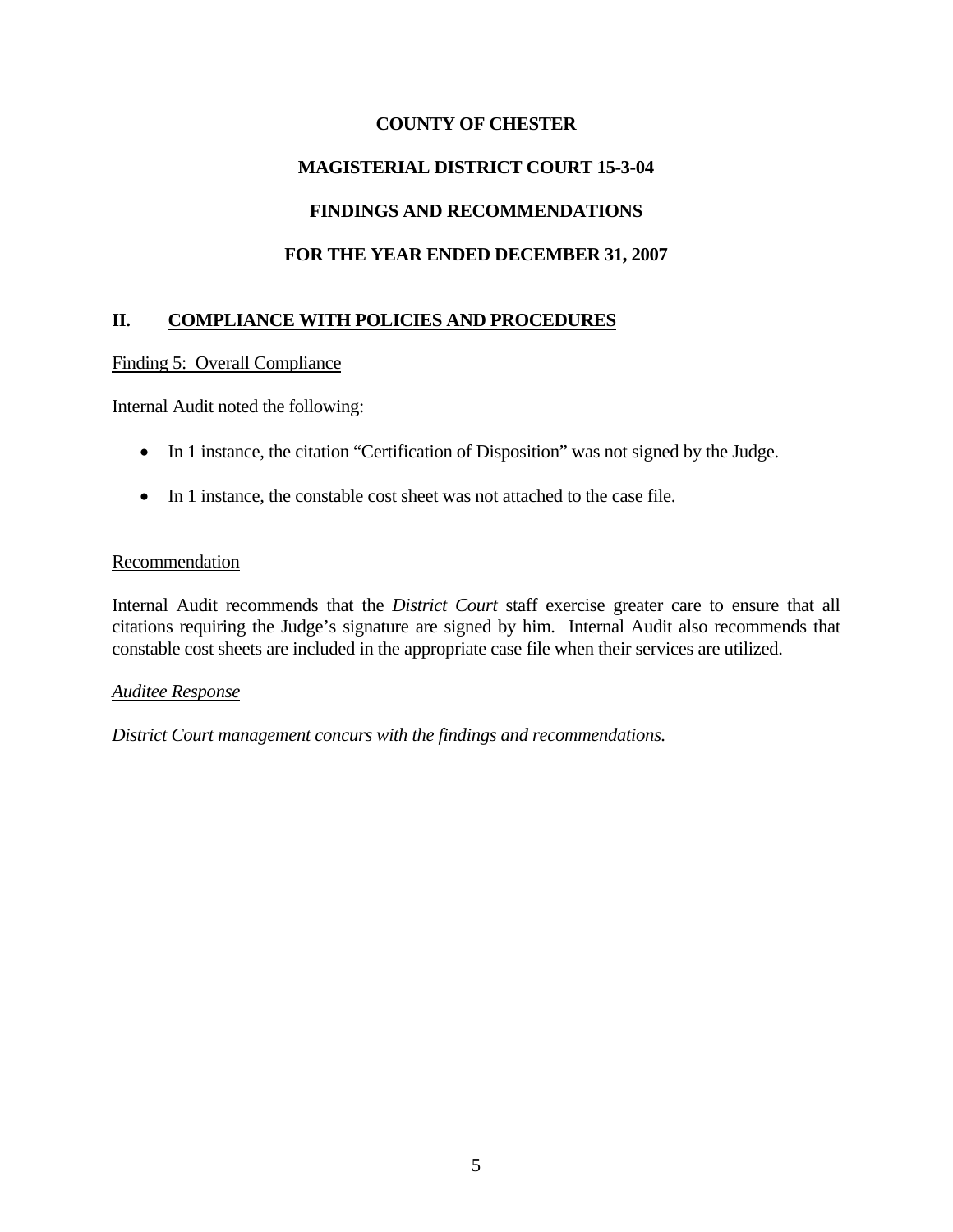## **MAGISTERIAL DISTRICT COURT 15-3-04**

## **FINDINGS AND RECOMMENDATIONS**

# **FOR THE YEAR ENDED DECEMBER 31, 2007**

## **II. COMPLIANCE WITH POLICIES AND PROCEDURES**

### Finding 5: Overall Compliance

Internal Audit noted the following:

- In 1 instance, the citation "Certification of Disposition" was not signed by the Judge.
- In 1 instance, the constable cost sheet was not attached to the case file.

### **Recommendation**

Internal Audit recommends that the *District Court* staff exercise greater care to ensure that all citations requiring the Judge's signature are signed by him. Internal Audit also recommends that constable cost sheets are included in the appropriate case file when their services are utilized.

### *Auditee Response*

*District Court management concurs with the findings and recommendations.*